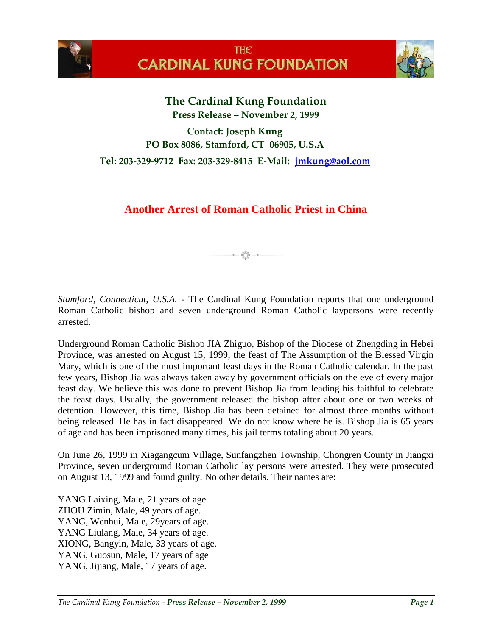



**The Cardinal Kung Foundation Press Release – November 2, 1999**

**Contact: Joseph Kung PO Box 8086, Stamford, CT 06905, U.S.A**

**Tel: 203-329-9712 Fax: 203-329-8415 E-Mail: [jmkung@aol.com](mailto:jmkung@aol.com)**

## **Another Arrest of Roman Catholic Priest in China**

 $a - \frac{60a}{60a} - a$ 

*Stamford, Connecticut, U.S.A.* - The Cardinal Kung Foundation reports that one underground Roman Catholic bishop and seven underground Roman Catholic laypersons were recently arrested.

Underground Roman Catholic Bishop JIA Zhiguo, Bishop of the Diocese of Zhengding in Hebei Province, was arrested on August 15, 1999, the feast of The Assumption of the Blessed Virgin Mary, which is one of the most important feast days in the Roman Catholic calendar. In the past few years, Bishop Jia was always taken away by government officials on the eve of every major feast day. We believe this was done to prevent Bishop Jia from leading his faithful to celebrate the feast days. Usually, the government released the bishop after about one or two weeks of detention. However, this time, Bishop Jia has been detained for almost three months without being released. He has in fact disappeared. We do not know where he is. Bishop Jia is 65 years of age and has been imprisoned many times, his jail terms totaling about 20 years.

On June 26, 1999 in Xiagangcum Village, Sunfangzhen Township, Chongren County in Jiangxi Province, seven underground Roman Catholic lay persons were arrested. They were prosecuted on August 13, 1999 and found guilty. No other details. Their names are:

YANG Laixing, Male, 21 years of age. ZHOU Zimin, Male, 49 years of age. YANG, Wenhui, Male, 29years of age. YANG Liulang, Male, 34 years of age. XIONG, Bangyin, Male, 33 years of age. YANG, Guosun, Male, 17 years of age YANG, Jijiang, Male, 17 years of age.